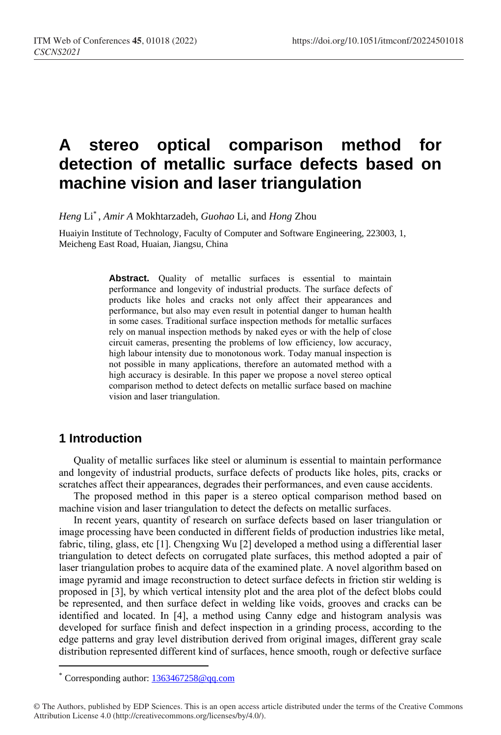# **A stereo optical comparison method for detection of metallic surface defects based on machine vision and laser triangulation**

*Heng* Li\* , *Amir A* Mokhtarzadeh, *Guohao* Li, and *Hong* Zhou

Huaiyin Institute of Technology, Faculty of Computer and Software Engineering, 223003, 1, Meicheng East Road, Huaian, Jiangsu, China

> **Abstract.** Quality of metallic surfaces is essential to maintain performance and longevity of industrial products. The surface defects of products like holes and cracks not only affect their appearances and performance, but also may even result in potential danger to human health in some cases. Traditional surface inspection methods for metallic surfaces rely on manual inspection methods by naked eyes or with the help of close circuit cameras, presenting the problems of low efficiency, low accuracy, high labour intensity due to monotonous work. Today manual inspection is not possible in many applications, therefore an automated method with a high accuracy is desirable. In this paper we propose a novel stereo optical comparison method to detect defects on metallic surface based on machine vision and laser triangulation.

## **1 Introduction**

 $\overline{a}$ 

Quality of metallic surfaces like steel or aluminum is essential to maintain performance and longevity of industrial products, surface defects of products like holes, pits, cracks or scratches affect their appearances, degrades their performances, and even cause accidents.

The proposed method in this paper is a stereo optical comparison method based on machine vision and laser triangulation to detect the defects on metallic surfaces.

In recent years, quantity of research on surface defects based on laser triangulation or image processing have been conducted in different fields of production industries like metal, fabric, tiling, glass, etc [1]. Chengxing Wu [2] developed a method using a differential laser triangulation to detect defects on corrugated plate surfaces, this method adopted a pair of laser triangulation probes to acquire data of the examined plate. A novel algorithm based on image pyramid and image reconstruction to detect surface defects in friction stir welding is proposed in [3], by which vertical intensity plot and the area plot of the defect blobs could be represented, and then surface defect in welding like voids, grooves and cracks can be identified and located. In [4], a method using Canny edge and histogram analysis was developed for surface finish and defect inspection in a grinding process, according to the edge patterns and gray level distribution derived from original images, different gray scale distribution represented different kind of surfaces, hence smooth, rough or defective surface

<sup>\*</sup> Corresponding author: [1363467258@qq.com](mailto:author@email.org)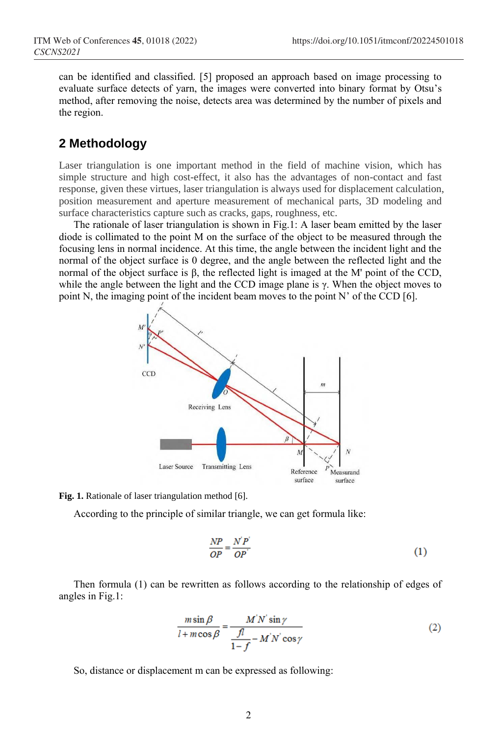can be identified and classified. [5] proposed an approach based on image processing to evaluate surface detects of yarn, the images were converted into binary format by Otsu's method, after removing the noise, detects area was determined by the number of pixels and the region.

## **2 Methodology**

Laser triangulation is one important method in the field of machine vision, which has simple structure and high cost-effect, it also has the advantages of non-contact and fast response, given these virtues, laser triangulation is always used for displacement calculation, position measurement and aperture measurement of mechanical parts, 3D modeling and surface characteristics capture such as cracks, gaps, roughness, etc.

The rationale of laser triangulation is shown in Fig.1: A laser beam emitted by the laser diode is collimated to the point M on the surface of the object to be measured through the focusing lens in normal incidence. At this time, the angle between the incident light and the normal of the object surface is 0 degree, and the angle between the reflected light and the normal of the object surface is β, the reflected light is imaged at the M' point of the CCD, while the angle between the light and the CCD image plane is  $\gamma$ . When the object moves to point N, the imaging point of the incident beam moves to the point N' of the CCD  $[6]$ .





According to the principle of similar triangle, we can get formula like:

$$
\frac{NP}{OP} = \frac{N'P'}{OP'}\tag{1}
$$

Then formula (1) can be rewritten as follows according to the relationship of edges of angles in Fig.1:

$$
\frac{m\sin\beta}{l+m\cos\beta} = \frac{M'N'\sin\gamma}{\frac{fl}{1-f} - M'N'\cos\gamma}
$$
(2)

So, distance or displacement m can be expressed as following: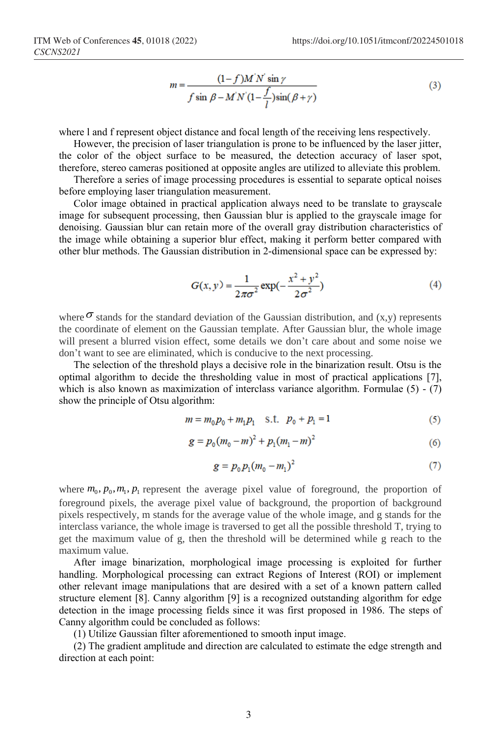$$
m = \frac{(1-f)M'N'\sin\gamma}{f\sin\beta - M'N'(1-\frac{f}{l})\sin(\beta+\gamma)}
$$
(3)

where l and f represent object distance and focal length of the receiving lens respectively.

However, the precision of laser triangulation is prone to be influenced by the laser jitter, the color of the object surface to be measured, the detection accuracy of laser spot, therefore, stereo cameras positioned at opposite angles are utilized to alleviate this problem.

Therefore a series of image processing procedures is essential to separate optical noises before employing laser triangulation measurement.

Color image obtained in practical application always need to be translate to grayscale image for subsequent processing, then Gaussian blur is applied to the grayscale image for denoising. Gaussian blur can retain more of the overall gray distribution characteristics of the image while obtaining a superior blur effect, making it perform better compared with other blur methods. The Gaussian distribution in 2-dimensional space can be expressed by:

$$
G(x, y) = \frac{1}{2\pi\sigma^2} \exp(-\frac{x^2 + y^2}{2\sigma^2})
$$
 (4)

where  $\sigma$  stands for the standard deviation of the Gaussian distribution, and  $(x, y)$  represents the coordinate of element on the Gaussian template. After Gaussian blur, the whole image will present a blurred vision effect, some details we don't care about and some noise we don't want to see are eliminated, which is conducive to the next processing.

The selection of the threshold plays a decisive role in the binarization result. Otsu is the optimal algorithm to decide the thresholding value in most of practical applications [7], which is also known as maximization of interclass variance algorithm. Formulae  $(5) - (7)$ show the principle of Otsu algorithm:

$$
m = m_0 p_0 + m_1 p_1 \quad \text{s.t.} \quad p_0 + p_1 = 1 \tag{5}
$$

$$
g = p_0 (m_0 - m)^2 + p_1 (m_1 - m)^2 \tag{6}
$$

$$
g = p_0 p_1 (m_0 - m_1)^2 \tag{7}
$$

where  $m_0$ ,  $p_0$ ,  $m_1$ ,  $p_1$  represent the average pixel value of foreground, the proportion of foreground pixels, the average pixel value of background, the proportion of background pixels respectively, m stands for the average value of the whole image, and g stands for the interclass variance, the whole image is traversed to get all the possible threshold T, trying to get the maximum value of g, then the threshold will be determined while g reach to the maximum value.

After image binarization, morphological image processing is exploited for further handling. Morphological processing can extract Regions of Interest (ROI) or implement other relevant image manipulations that are desired with a set of a known pattern called structure element [8]. Canny algorithm [9] is a recognized outstanding algorithm for edge detection in the image processing fields since it was first proposed in 1986. The steps of Canny algorithm could be concluded as follows:

(1) Utilize Gaussian filter aforementioned to smooth input image.

(2) The gradient amplitude and direction are calculated to estimate the edge strength and direction at each point: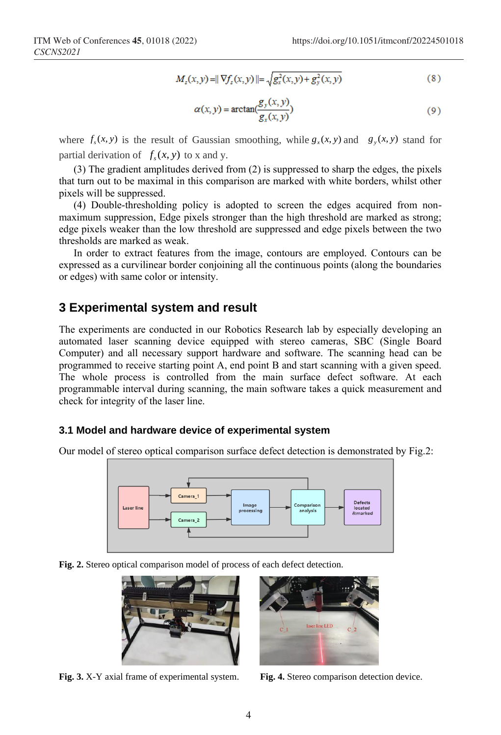$$
M_z(x, y) = || \nabla f_z(x, y) || = \sqrt{g_x^2(x, y) + g_y^2(x, y)}
$$
 (8)

$$
\alpha(x, y) = \arctan(\frac{g_y(x, y)}{g_x(x, y)})
$$
\n(9)

where  $f_s(x, y)$  is the result of Gaussian smoothing, while  $g_x(x, y)$  and  $g_y(x, y)$  stand for partial derivation of  $f_s(x, y)$  to x and y.

(3) The gradient amplitudes derived from (2) is suppressed to sharp the edges, the pixels that turn out to be maximal in this comparison are marked with white borders, whilst other pixels will be suppressed.

(4) Double-thresholding policy is adopted to screen the edges acquired from nonmaximum suppression, Edge pixels stronger than the high threshold are marked as strong; edge pixels weaker than the low threshold are suppressed and edge pixels between the two thresholds are marked as weak.

In order to extract features from the image, contours are employed. Contours can be expressed as a curvilinear border conjoining all the continuous points (along the boundaries or edges) with same color or intensity.

### **3 Experimental system and result**

The experiments are conducted in our Robotics Research lab by especially developing an automated laser scanning device equipped with stereo cameras, SBC (Single Board Computer) and all necessary support hardware and software. The scanning head can be programmed to receive starting point A, end point B and start scanning with a given speed. The whole process is controlled from the main surface defect software. At each programmable interval during scanning, the main software takes a quick measurement and check for integrity of the laser line.

#### **3.1 Model and hardware device of experimental system**

Our model of stereo optical comparison surface defect detection is demonstrated by Fig.2:



**Fig. 2.** Stereo optical comparison model of process of each defect detection.





**Fig. 3.** X-Y axial frame of experimental system. **Fig. 4.** Stereo comparison detection device.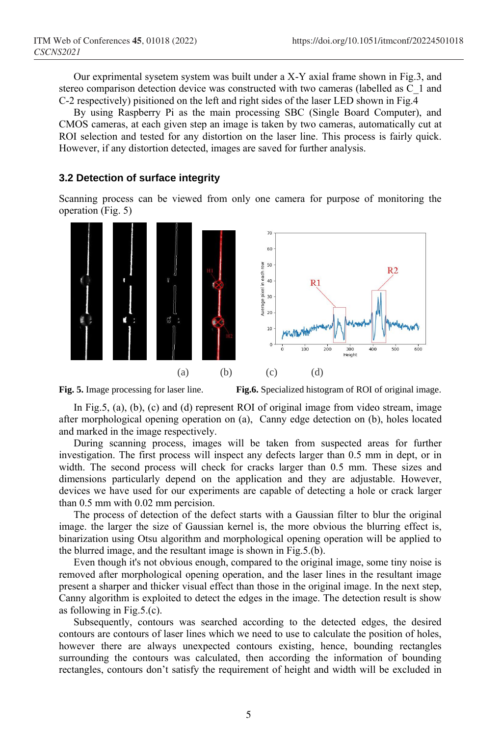Our exprimental sysetem system was built under a X-Y axial frame shown in Fig.3, and stereo comparison detection device was constructed with two cameras (labelled as C\_1 and C-2 respectively) pisitioned on the left and right sides of the laser LED shown in Fig.  $\overline{4}$ 

By using Raspberry Pi as the main processing SBC (Single Board Computer), and CMOS cameras, at each given step an image is taken by two cameras, automatically cut at ROI selection and tested for any distortion on the laser line. This process is fairly quick. However, if any distortion detected, images are saved for further analysis.

### **3.2 Detection of surface integrity**

Scanning process can be viewed from only one camera for purpose of monitoring the operation (Fig. 5)





**Fig. 5.** Image processing for laser line. **Fig.6.** Specialized histogram of ROI of original image.

In Fig.5, (a), (b), (c) and (d) represent ROI of original image from video stream, image after morphological opening operation on (a), Canny edge detection on (b), holes located and marked in the image respectively.

During scanning process, images will be taken from suspected areas for further investigation. The first process will inspect any defects larger than 0.5 mm in dept, or in width. The second process will check for cracks larger than 0.5 mm. These sizes and dimensions particularly depend on the application and they are adjustable. However, devices we have used for our experiments are capable of detecting a hole or crack larger than 0.5 mm with 0.02 mm percision.

The process of detection of the defect starts with a Gaussian filter to blur the original image. the larger the size of Gaussian kernel is, the more obvious the blurring effect is, binarization using Otsu algorithm and morphological opening operation will be applied to the blurred image, and the resultant image is shown in Fig.5.(b).

Even though it's not obvious enough, compared to the original image, some tiny noise is removed after morphological opening operation, and the laser lines in the resultant image present a sharper and thicker visual effect than those in the original image. In the next step, Canny algorithm is exploited to detect the edges in the image. The detection result is show as following in Fig.5.(c).

Subsequently, contours was searched according to the detected edges, the desired contours are contours of laser lines which we need to use to calculate the position of holes, however there are always unexpected contours existing, hence, bounding rectangles surrounding the contours was calculated, then according the information of bounding rectangles, contours don't satisfy the requirement of height and width will be excluded in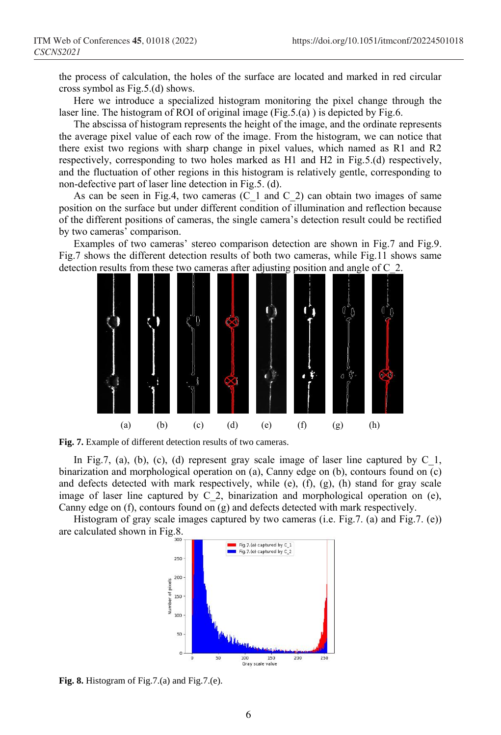the process of calculation, the holes of the surface are located and marked in red circular cross symbol as Fig.5.(d) shows.

Here we introduce a specialized histogram monitoring the pixel change through the laser line. The histogram of ROI of original image (Fig.5.(a) ) is depicted by Fig.6.

The abscissa of histogram represents the height of the image, and the ordinate represents the average pixel value of each row of the image. From the histogram, we can notice that there exist two regions with sharp change in pixel values, which named as R1 and R2 respectively, corresponding to two holes marked as H1 and H2 in Fig.5.(d) respectively, and the fluctuation of other regions in this histogram is relatively gentle, corresponding to non-defective part of laser line detection in Fig.5. (d).

As can be seen in Fig.4, two cameras  $(C_1$  and  $C_2$ ) can obtain two images of same position on the surface but under different condition of illumination and reflection because of the different positions of cameras, the single camera's detection result could be rectified by two cameras' comparison.

Examples of two cameras' stereo comparison detection are shown in Fig.7 and Fig.9. Fig.7 shows the different detection results of both two cameras, while Fig.11 shows same detection results from these two cameras after adjusting position and angle of C\_2.



**Fig. 7.** Example of different detection results of two cameras.

In Fig.7, (a), (b), (c), (d) represent gray scale image of laser line captured by  $C_1$ , binarization and morphological operation on (a), Canny edge on (b), contours found on (c) and defects detected with mark respectively, while (e), (f), (g), (h) stand for gray scale image of laser line captured by C<sub>2</sub>, binarization and morphological operation on (e), Canny edge on (f), contours found on (g) and defects detected with mark respectively.

Histogram of gray scale images captured by two cameras (i.e. Fig.7. (a) and Fig.7. (e)) are calculated shown in Fig.8.



**Fig. 8.** Histogram of Fig.7.(a) and Fig.7.(e).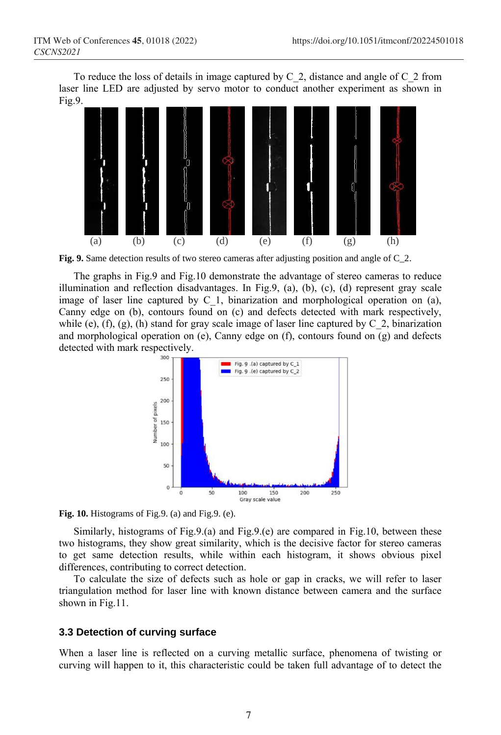To reduce the loss of details in image captured by C\_2, distance and angle of C\_2 from laser line LED are adjusted by servo motor to conduct another experiment as shown in Fig.9.



**Fig. 9.** Same detection results of two stereo cameras after adjusting position and angle of C\_2.

The graphs in Fig.9 and Fig.10 demonstrate the advantage of stereo cameras to reduce illumination and reflection disadvantages. In Fig.9, (a), (b), (c), (d) represent gray scale image of laser line captured by C\_1, binarization and morphological operation on (a), Canny edge on (b), contours found on (c) and defects detected with mark respectively, while (e), (f), (g), (h) stand for gray scale image of laser line captured by  $C_2$ , binarization and morphological operation on (e), Canny edge on  $(f)$ , contours found on  $(g)$  and defects detected with mark respectively.



**Fig. 10.** Histograms of Fig.9. (a) and Fig.9. (e).

Similarly, histograms of Fig.9.(a) and Fig.9.(e) are compared in Fig.10, between these two histograms, they show great similarity, which is the decisive factor for stereo cameras to get same detection results, while within each histogram, it shows obvious pixel differences, contributing to correct detection.

To calculate the size of defects such as hole or gap in cracks, we will refer to laser triangulation method for laser line with known distance between camera and the surface shown in Fig.11.

### **3.3 Detection of curving surface**

When a laser line is reflected on a curving metallic surface, phenomena of twisting or curving will happen to it, this characteristic could be taken full advantage of to detect the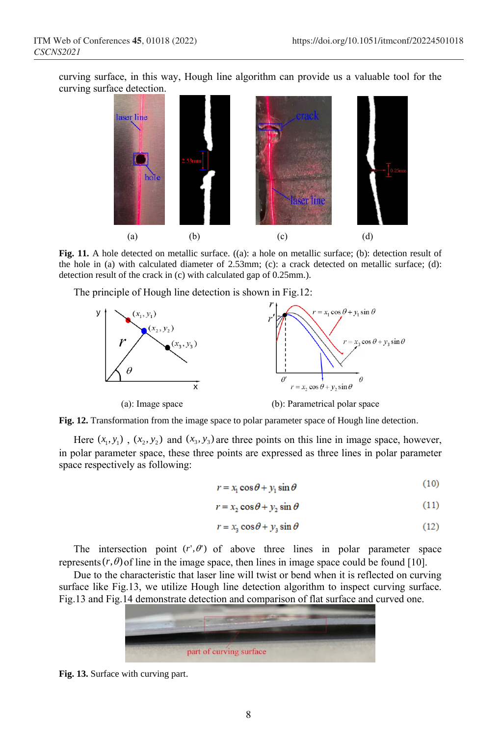curving surface, in this way, Hough line algorithm can provide us a valuable tool for the curving surface detection.



**Fig. 11.** A hole detected on metallic surface. ((a): a hole on metallic surface; (b): detection result of the hole in (a) with calculated diameter of 2.53mm; (c): a crack detected on metallic surface; (d): detection result of the crack in (c) with calculated gap of 0.25mm.).

The principle of Hough line detection is shown in Fig.12:



**Fig. 12.** Transformation from the image space to polar parameter space of Hough line detection.

Here  $(x_1, y_1)$ ,  $(x_2, y_2)$  and  $(x_3, y_3)$  are three points on this line in image space, however, in polar parameter space, these three points are expressed as three lines in polar parameter space respectively as following:

$$
r = x_1 \cos \theta + y_1 \sin \theta \tag{10}
$$

$$
r = x_2 \cos \theta + y_2 \sin \theta \tag{11}
$$

$$
r = x_3 \cos \theta + y_3 \sin \theta \tag{12}
$$

The intersection point  $(r', \theta')$  of above three lines in polar parameter space represents  $(r, \theta)$  of line in the image space, then lines in image space could be found [10].

Due to the characteristic that laser line will twist or bend when it is reflected on curving surface like Fig.13, we utilize Hough line detection algorithm to inspect curving surface. Fig.13 and Fig.14 demonstrate detection and comparison of flat surface and curved one.



**Fig. 13.** Surface with curving part.